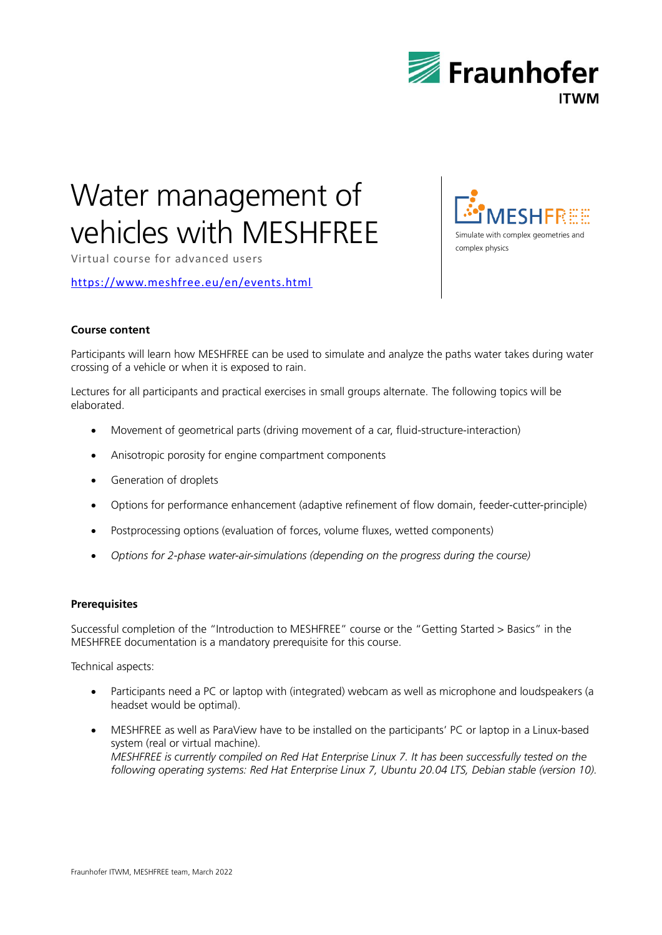

# Water management of vehicles with MESHFREE

Virtual course for advanced users

<https://www.meshfree.eu/en/events.html>

# **Course content**

Participants will learn how MESHFREE can be used to simulate and analyze the paths water takes during water crossing of a vehicle or when it is exposed to rain.

Lectures for all participants and practical exercises in small groups alternate. The following topics will be elaborated.

- Movement of geometrical parts (driving movement of a car, fluid-structure-interaction)
- Anisotropic porosity for engine compartment components
- **•** Generation of droplets
- Options for performance enhancement (adaptive refinement of flow domain, feeder-cutter-principle)
- Postprocessing options (evaluation of forces, volume fluxes, wetted components)
- *Options for 2-phase water-air-simulations (depending on the progress during the course)*

#### **Prerequisites**

Successful completion of the "Introduction to MESHFREE" course or the "Getting Started > Basics" in the MESHFREE documentation is a mandatory prerequisite for this course.

Technical aspects:

- Participants need a PC or laptop with (integrated) webcam as well as microphone and loudspeakers (a headset would be optimal).
- MESHFREE as well as ParaView have to be installed on the participants' PC or laptop in a Linux-based system (real or virtual machine). *MESHFREE is currently compiled on Red Hat Enterprise Linux 7. It has been successfully tested on the following operating systems: Red Hat Enterprise Linux 7, Ubuntu 20.04 LTS, Debian stable (version 10).*